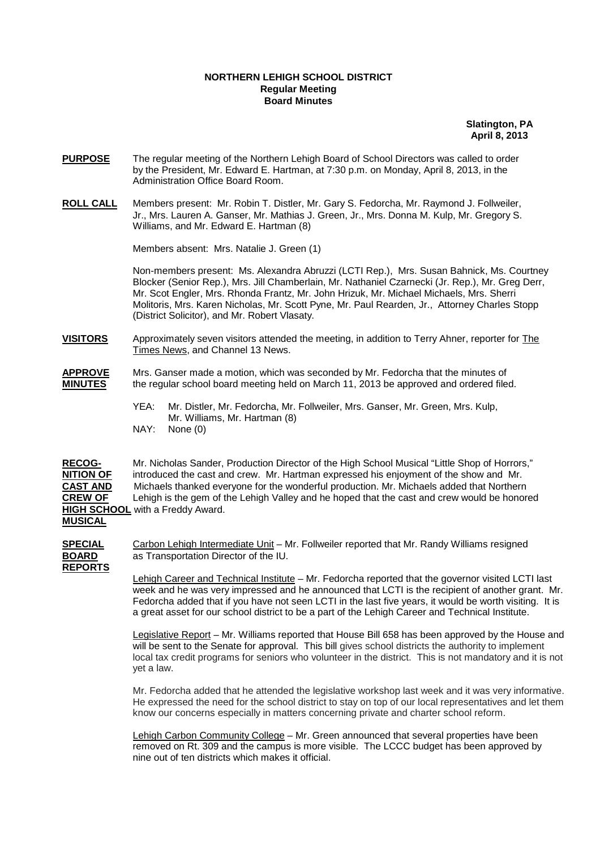## **NORTHERN LEHIGH SCHOOL DISTRICT Regular Meeting Board Minutes**

 **Slatington, PA April 8, 2013** 

- **PURPOSE** The regular meeting of the Northern Lehigh Board of School Directors was called to order by the President, Mr. Edward E. Hartman, at 7:30 p.m. on Monday, April 8, 2013, in the Administration Office Board Room.
- **ROLL CALL** Members present: Mr. Robin T. Distler, Mr. Gary S. Fedorcha, Mr. Raymond J. Follweiler, Jr., Mrs. Lauren A. Ganser, Mr. Mathias J. Green, Jr., Mrs. Donna M. Kulp, Mr. Gregory S. Williams, and Mr. Edward E. Hartman (8)

Members absent: Mrs. Natalie J. Green (1)

Non-members present: Ms. Alexandra Abruzzi (LCTI Rep.), Mrs. Susan Bahnick, Ms. Courtney Blocker (Senior Rep.), Mrs. Jill Chamberlain, Mr. Nathaniel Czarnecki (Jr. Rep.), Mr. Greg Derr, Mr. Scot Engler, Mrs. Rhonda Frantz, Mr. John Hrizuk, Mr. Michael Michaels, Mrs. Sherri Molitoris, Mrs. Karen Nicholas, Mr. Scott Pyne, Mr. Paul Rearden, Jr., Attorney Charles Stopp (District Solicitor), and Mr. Robert Vlasaty.

**VISITORS** Approximately seven visitors attended the meeting, in addition to Terry Ahner, reporter for The Times News, and Channel 13 News.

## **APPROVE** Mrs. Ganser made a motion, which was seconded by Mr. Fedorcha that the minutes of **MINUTES** the regular school board meeting held on March 11, 2013 be approved and ordered filed.

 YEA: Mr. Distler, Mr. Fedorcha, Mr. Follweiler, Mrs. Ganser, Mr. Green, Mrs. Kulp, Mr. Williams, Mr. Hartman (8)<br>NAY: None (0) None (0)

**RECOG-** Mr. Nicholas Sander, Production Director of the High School Musical "Little Shop of Horrors," **NITION OF** introduced the cast and crew. Mr. Hartman expressed his enjoyment of the show and Mr. **CAST AND** Michaels thanked everyone for the wonderful production. Mr. Michaels added that Northern **CREW OF** Lehigh is the gem of the Lehigh Valley and he hoped that the cast and crew would be honored **HIGH SCHOOL** with a Freddy Award. **MUSICAL**

**SPECIAL** Carbon Lehigh Intermediate Unit – Mr. Follweiler reported that Mr. Randy Williams resigned **BOARD** as Transportation Director of the IU. **REPORTS** 

> Lehigh Career and Technical Institute – Mr. Fedorcha reported that the governor visited LCTI last week and he was very impressed and he announced that LCTI is the recipient of another grant. Mr. Fedorcha added that if you have not seen LCTI in the last five years, it would be worth visiting. It is a great asset for our school district to be a part of the Lehigh Career and Technical Institute.

> Legislative Report – Mr. Williams reported that House Bill 658 has been approved by the House and will be sent to the Senate for approval. This bill gives school districts the authority to implement local tax credit programs for seniors who volunteer in the district. This is not mandatory and it is not yet a law.

> Mr. Fedorcha added that he attended the legislative workshop last week and it was very informative. He expressed the need for the school district to stay on top of our local representatives and let them know our concerns especially in matters concerning private and charter school reform.

Lehigh Carbon Community College – Mr. Green announced that several properties have been removed on Rt. 309 and the campus is more visible. The LCCC budget has been approved by nine out of ten districts which makes it official.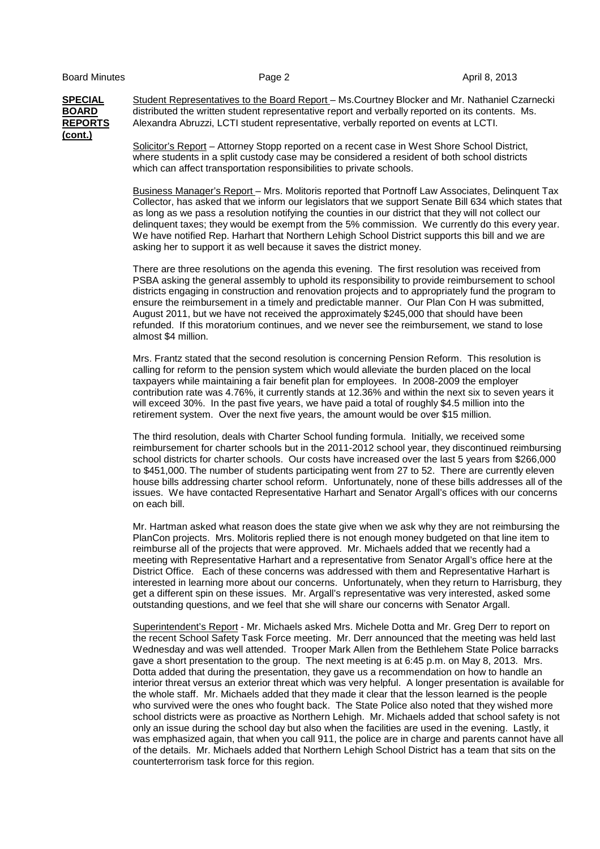**SPECIAL** Student Representatives to the Board Report – Ms.Courtney Blocker and Mr. Nathaniel Czarnecki **BOARD** distributed the written student representative report and verbally reported on its contents. Ms. **REPORTS** Alexandra Abruzzi, LCTI student representative, verbally reported on events at LCTI. **(cont.)**

Solicitor's Report – Attorney Stopp reported on a recent case in West Shore School District, where students in a split custody case may be considered a resident of both school districts which can affect transportation responsibilities to private schools.

 Business Manager's Report – Mrs. Molitoris reported that Portnoff Law Associates, Delinquent Tax Collector, has asked that we inform our legislators that we support Senate Bill 634 which states that as long as we pass a resolution notifying the counties in our district that they will not collect our delinquent taxes; they would be exempt from the 5% commission. We currently do this every year. We have notified Rep. Harhart that Northern Lehigh School District supports this bill and we are asking her to support it as well because it saves the district money.

 There are three resolutions on the agenda this evening. The first resolution was received from PSBA asking the general assembly to uphold its responsibility to provide reimbursement to school districts engaging in construction and renovation projects and to appropriately fund the program to ensure the reimbursement in a timely and predictable manner. Our Plan Con H was submitted, August 2011, but we have not received the approximately \$245,000 that should have been refunded. If this moratorium continues, and we never see the reimbursement, we stand to lose almost \$4 million.

Mrs. Frantz stated that the second resolution is concerning Pension Reform. This resolution is calling for reform to the pension system which would alleviate the burden placed on the local taxpayers while maintaining a fair benefit plan for employees. In 2008-2009 the employer contribution rate was 4.76%, it currently stands at 12.36% and within the next six to seven years it will exceed 30%. In the past five years, we have paid a total of roughly \$4.5 million into the retirement system. Over the next five years, the amount would be over \$15 million.

The third resolution, deals with Charter School funding formula. Initially, we received some reimbursement for charter schools but in the 2011-2012 school year, they discontinued reimbursing school districts for charter schools. Our costs have increased over the last 5 years from \$266,000 to \$451,000. The number of students participating went from 27 to 52. There are currently eleven house bills addressing charter school reform. Unfortunately, none of these bills addresses all of the issues. We have contacted Representative Harhart and Senator Argall's offices with our concerns on each bill.

Mr. Hartman asked what reason does the state give when we ask why they are not reimbursing the PlanCon projects. Mrs. Molitoris replied there is not enough money budgeted on that line item to reimburse all of the projects that were approved. Mr. Michaels added that we recently had a meeting with Representative Harhart and a representative from Senator Argall's office here at the District Office. Each of these concerns was addressed with them and Representative Harhart is interested in learning more about our concerns. Unfortunately, when they return to Harrisburg, they get a different spin on these issues. Mr. Argall's representative was very interested, asked some outstanding questions, and we feel that she will share our concerns with Senator Argall.

Superintendent's Report - Mr. Michaels asked Mrs. Michele Dotta and Mr. Greg Derr to report on the recent School Safety Task Force meeting. Mr. Derr announced that the meeting was held last Wednesday and was well attended. Trooper Mark Allen from the Bethlehem State Police barracks gave a short presentation to the group. The next meeting is at 6:45 p.m. on May 8, 2013. Mrs. Dotta added that during the presentation, they gave us a recommendation on how to handle an interior threat versus an exterior threat which was very helpful. A longer presentation is available for the whole staff. Mr. Michaels added that they made it clear that the lesson learned is the people who survived were the ones who fought back. The State Police also noted that they wished more school districts were as proactive as Northern Lehigh. Mr. Michaels added that school safety is not only an issue during the school day but also when the facilities are used in the evening. Lastly, it was emphasized again, that when you call 911, the police are in charge and parents cannot have all of the details. Mr. Michaels added that Northern Lehigh School District has a team that sits on the counterterrorism task force for this region.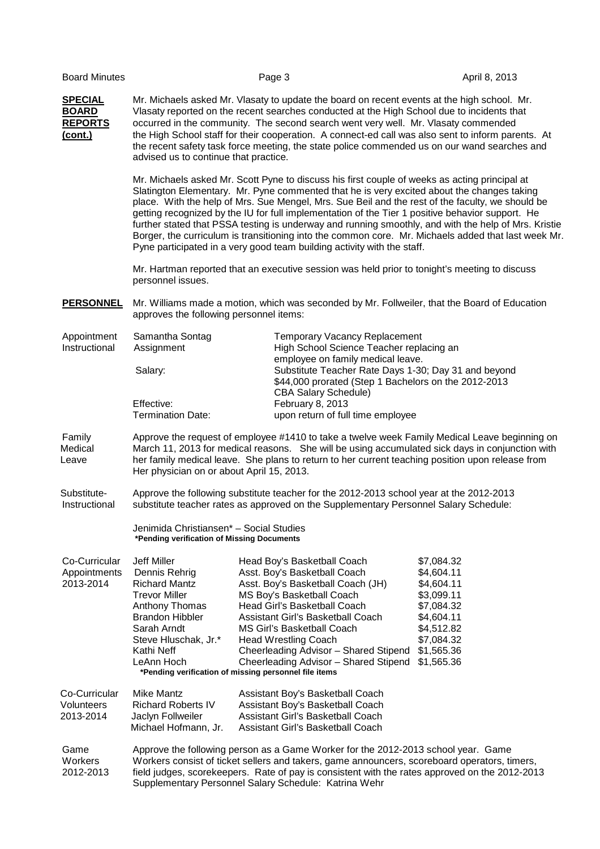| <b>Board Minutes</b> |
|----------------------|
|                      |

**SPECIAL** Mr. Michaels asked Mr. Vlasaty to update the board on recent events at the high school. Mr. **BOARD** Vlasaty reported on the recent searches conducted at the High School due to incidents that Vlasaty reported on the recent searches conducted at the High School due to incidents that **REPORTS** occurred in the community. The second search went very well. Mr. Vlasaty commended **(cont.)** the High School staff for their cooperation. A connect-ed call was also sent to inform parents. At the recent safety task force meeting, the state police commended us on our wand searches and advised us to continue that practice.

> Mr. Michaels asked Mr. Scott Pyne to discuss his first couple of weeks as acting principal at Slatington Elementary. Mr. Pyne commented that he is very excited about the changes taking place. With the help of Mrs. Sue Mengel, Mrs. Sue Beil and the rest of the faculty, we should be getting recognized by the IU for full implementation of the Tier 1 positive behavior support. He further stated that PSSA testing is underway and running smoothly, and with the help of Mrs. Kristie Borger, the curriculum is transitioning into the common core. Mr. Michaels added that last week Mr. Pyne participated in a very good team building activity with the staff.

 Mr. Hartman reported that an executive session was held prior to tonight's meeting to discuss personnel issues.

**PERSONNEL** Mr. Williams made a motion, which was seconded by Mr. Follweiler, that the Board of Education approves the following personnel items:

| Appointment   | Samantha Sontag                                                                            | Temporary Vacancy Replacement                                                                                                               |
|---------------|--------------------------------------------------------------------------------------------|---------------------------------------------------------------------------------------------------------------------------------------------|
| Instructional | Assignment                                                                                 | High School Science Teacher replacing an<br>employee on family medical leave.                                                               |
|               | Salary:                                                                                    | Substitute Teacher Rate Days 1-30; Day 31 and beyond<br>\$44,000 prorated (Step 1 Bachelors on the 2012-2013<br><b>CBA Salary Schedule)</b> |
|               | Effective:<br><b>Termination Date:</b>                                                     | February 8, 2013<br>upon return of full time employee                                                                                       |
| Family        | Approve the request of employee #1410 to take a twelve week Family Medical Leave beginning |                                                                                                                                             |

Family Approve the request of employee #1410 to take a twelve week Family Medical Leave beginning on Medical March 11, 2013 for medical reasons. She will be using accumulated sick days in conjunction with Leave her family medical leave. She plans to return to her current teaching position upon release from Her physician on or about April 15, 2013.

 Substitute- Approve the following substitute teacher for the 2012-2013 school year at the 2012-2013 Instructional substitute teacher rates as approved on the Supplementary Personnel Salary Schedule:

> Jenimida Christiansen\* – Social Studies **\*Pending verification of Missing Documents**

| Co-Curricular | Jeff Miller            | Head Boy's Basketball Coach                           | \$7,084.32 |
|---------------|------------------------|-------------------------------------------------------|------------|
| Appointments  | Dennis Rehrig          | Asst. Boy's Basketball Coach                          | \$4,604.11 |
| 2013-2014     | <b>Richard Mantz</b>   | Asst. Boy's Basketball Coach (JH)                     | \$4,604.11 |
|               | <b>Trevor Miller</b>   | MS Boy's Basketball Coach                             | \$3,099.11 |
|               | Anthony Thomas         | Head Girl's Basketball Coach                          | \$7,084.32 |
|               | <b>Brandon Hibbler</b> | Assistant Girl's Basketball Coach                     | \$4,604.11 |
|               | Sarah Arndt            | MS Girl's Basketball Coach                            | \$4,512.82 |
|               | Steve Hluschak, Jr.*   | Head Wrestling Coach                                  | \$7,084.32 |
|               | Kathi Neff             | Cheerleading Advisor - Shared Stipend                 | \$1,565.36 |
|               | LeAnn Hoch             | Cheerleading Advisor - Shared Stipend                 | \$1,565,36 |
|               |                        | *Pending verification of missing personnel file items |            |
|               |                        |                                                       |            |

| Co-Curricular     | Mike Mantz                | Assistant Boy's Basketball Coach  |
|-------------------|---------------------------|-----------------------------------|
| <b>Volunteers</b> | <b>Richard Roberts IV</b> | Assistant Boy's Basketball Coach  |
| 2013-2014         | Jaclyn Follweiler         | Assistant Girl's Basketball Coach |
|                   | Michael Hofmann, Jr.      | Assistant Girl's Basketball Coach |

Game Approve the following person as a Game Worker for the 2012-2013 school year. Game Workers Workers consist of ticket sellers and takers, game announcers, scoreboard operators, timers, 2012-2013 field judges, scorekeepers. Rate of pay is consistent with the rates approved on the 2012-2013 Supplementary Personnel Salary Schedule: Katrina Wehr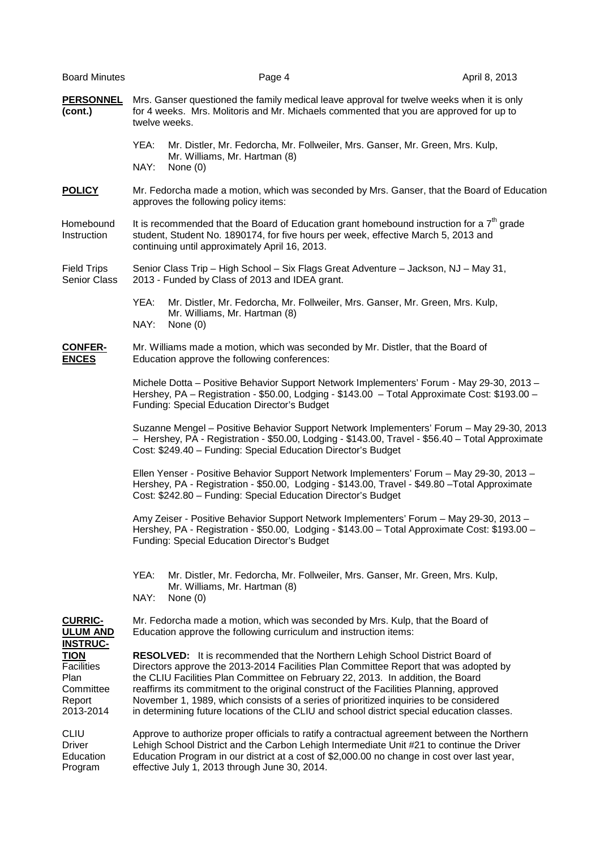| <b>Board Minutes</b>                                                                            | Page 4                                                                                                                                                                                                                                                                                                                                                                                                                                                                                                                                             | April 8, 2013 |
|-------------------------------------------------------------------------------------------------|----------------------------------------------------------------------------------------------------------------------------------------------------------------------------------------------------------------------------------------------------------------------------------------------------------------------------------------------------------------------------------------------------------------------------------------------------------------------------------------------------------------------------------------------------|---------------|
| <b>PERSONNEL</b><br>(cont.)                                                                     | Mrs. Ganser questioned the family medical leave approval for twelve weeks when it is only<br>for 4 weeks. Mrs. Molitoris and Mr. Michaels commented that you are approved for up to<br>twelve weeks.                                                                                                                                                                                                                                                                                                                                               |               |
|                                                                                                 | YEA:<br>Mr. Distler, Mr. Fedorcha, Mr. Follweiler, Mrs. Ganser, Mr. Green, Mrs. Kulp,<br>Mr. Williams, Mr. Hartman (8)<br>NAY:<br>None $(0)$                                                                                                                                                                                                                                                                                                                                                                                                       |               |
| <b>POLICY</b>                                                                                   | Mr. Fedorcha made a motion, which was seconded by Mrs. Ganser, that the Board of Education<br>approves the following policy items:                                                                                                                                                                                                                                                                                                                                                                                                                 |               |
| Homebound<br>Instruction                                                                        | It is recommended that the Board of Education grant homebound instruction for a $7th$ grade<br>student, Student No. 1890174, for five hours per week, effective March 5, 2013 and<br>continuing until approximately April 16, 2013.                                                                                                                                                                                                                                                                                                                |               |
| <b>Field Trips</b><br>Senior Class                                                              | Senior Class Trip - High School - Six Flags Great Adventure - Jackson, NJ - May 31,<br>2013 - Funded by Class of 2013 and IDEA grant.                                                                                                                                                                                                                                                                                                                                                                                                              |               |
|                                                                                                 | YEA:<br>Mr. Distler, Mr. Fedorcha, Mr. Follweiler, Mrs. Ganser, Mr. Green, Mrs. Kulp,<br>Mr. Williams, Mr. Hartman (8)<br>NAY:<br>None $(0)$                                                                                                                                                                                                                                                                                                                                                                                                       |               |
| <b>CONFER-</b><br><b>ENCES</b>                                                                  | Mr. Williams made a motion, which was seconded by Mr. Distler, that the Board of<br>Education approve the following conferences:                                                                                                                                                                                                                                                                                                                                                                                                                   |               |
|                                                                                                 | Michele Dotta - Positive Behavior Support Network Implementers' Forum - May 29-30, 2013 -<br>Hershey, PA - Registration - \$50.00, Lodging - \$143.00 - Total Approximate Cost: \$193.00 -<br>Funding: Special Education Director's Budget                                                                                                                                                                                                                                                                                                         |               |
|                                                                                                 | Suzanne Mengel - Positive Behavior Support Network Implementers' Forum - May 29-30, 2013<br>- Hershey, PA - Registration - \$50.00, Lodging - \$143.00, Travel - \$56.40 - Total Approximate<br>Cost: \$249.40 - Funding: Special Education Director's Budget                                                                                                                                                                                                                                                                                      |               |
|                                                                                                 | Ellen Yenser - Positive Behavior Support Network Implementers' Forum - May 29-30, 2013 -<br>Hershey, PA - Registration - \$50.00, Lodging - \$143.00, Travel - \$49.80 - Total Approximate<br>Cost: \$242.80 - Funding: Special Education Director's Budget                                                                                                                                                                                                                                                                                        |               |
|                                                                                                 | Amy Zeiser - Positive Behavior Support Network Implementers' Forum - May 29-30, 2013 -<br>Hershey, PA - Registration - \$50.00, Lodging - \$143.00 - Total Approximate Cost: \$193.00 -<br><b>Funding: Special Education Director's Budget</b>                                                                                                                                                                                                                                                                                                     |               |
|                                                                                                 | YEA:<br>Mr. Distler, Mr. Fedorcha, Mr. Follweiler, Mrs. Ganser, Mr. Green, Mrs. Kulp,<br>Mr. Williams, Mr. Hartman (8)<br>NAY:<br>None $(0)$                                                                                                                                                                                                                                                                                                                                                                                                       |               |
| <b>CURRIC-</b><br><b>ULUM AND</b>                                                               | Mr. Fedorcha made a motion, which was seconded by Mrs. Kulp, that the Board of<br>Education approve the following curriculum and instruction items:                                                                                                                                                                                                                                                                                                                                                                                                |               |
| <b>INSTRUC-</b><br><b>TION</b><br><b>Facilities</b><br>Plan<br>Committee<br>Report<br>2013-2014 | <b>RESOLVED:</b> It is recommended that the Northern Lehigh School District Board of<br>Directors approve the 2013-2014 Facilities Plan Committee Report that was adopted by<br>the CLIU Facilities Plan Committee on February 22, 2013. In addition, the Board<br>reaffirms its commitment to the original construct of the Facilities Planning, approved<br>November 1, 1989, which consists of a series of prioritized inquiries to be considered<br>in determining future locations of the CLIU and school district special education classes. |               |
| <b>CLIU</b><br>Driver<br>Education<br>Program                                                   | Approve to authorize proper officials to ratify a contractual agreement between the Northern<br>Lehigh School District and the Carbon Lehigh Intermediate Unit #21 to continue the Driver<br>Education Program in our district at a cost of \$2,000.00 no change in cost over last year,<br>effective July 1, 2013 through June 30, 2014.                                                                                                                                                                                                          |               |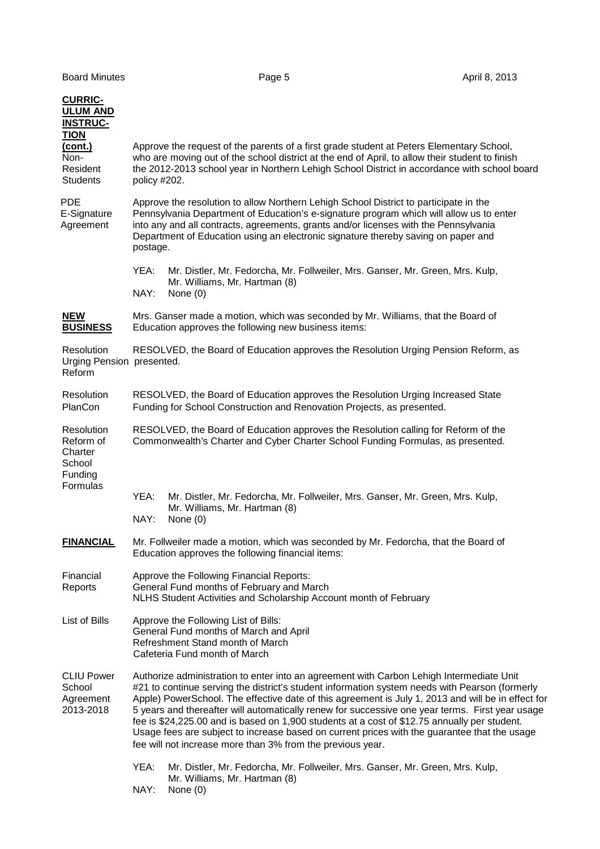Board Minutes **Page 5** April 8, 2013

|            | <b>CURRIC-</b><br><b>ULUM AND</b><br><b>INSTRUC-</b><br><b>TION</b><br><u>(cont.)</u><br>Non-<br>Resident | Approve the request of the parents of a first grade student at Peters Elementary School,<br>who are moving out of the school district at the end of April, to allow their student to finish<br>the 2012-2013 school year in Northern Lehigh School District in accordance with school board                                                                                                                                                                                                                                                                                                                                                                       |  |
|------------|-----------------------------------------------------------------------------------------------------------|-------------------------------------------------------------------------------------------------------------------------------------------------------------------------------------------------------------------------------------------------------------------------------------------------------------------------------------------------------------------------------------------------------------------------------------------------------------------------------------------------------------------------------------------------------------------------------------------------------------------------------------------------------------------|--|
| <b>PDE</b> | <b>Students</b><br>E-Signature<br>Agreement                                                               | policy #202.<br>Approve the resolution to allow Northern Lehigh School District to participate in the<br>Pennsylvania Department of Education's e-signature program which will allow us to enter<br>into any and all contracts, agreements, grants and/or licenses with the Pennsylvania<br>Department of Education using an electronic signature thereby saving on paper and<br>postage.                                                                                                                                                                                                                                                                         |  |
|            |                                                                                                           | YEA:<br>Mr. Distler, Mr. Fedorcha, Mr. Follweiler, Mrs. Ganser, Mr. Green, Mrs. Kulp,<br>Mr. Williams, Mr. Hartman (8)<br>NAY:<br>None $(0)$                                                                                                                                                                                                                                                                                                                                                                                                                                                                                                                      |  |
|            | <b>NEW</b><br><b>BUSINESS</b>                                                                             | Mrs. Ganser made a motion, which was seconded by Mr. Williams, that the Board of<br>Education approves the following new business items:                                                                                                                                                                                                                                                                                                                                                                                                                                                                                                                          |  |
|            | Resolution<br>Urging Pension presented.<br>Reform                                                         | RESOLVED, the Board of Education approves the Resolution Urging Pension Reform, as                                                                                                                                                                                                                                                                                                                                                                                                                                                                                                                                                                                |  |
|            | Resolution<br>PlanCon                                                                                     | RESOLVED, the Board of Education approves the Resolution Urging Increased State<br>Funding for School Construction and Renovation Projects, as presented.                                                                                                                                                                                                                                                                                                                                                                                                                                                                                                         |  |
|            | Resolution<br>Reform of<br>Charter<br>School<br>Funding<br>Formulas                                       | RESOLVED, the Board of Education approves the Resolution calling for Reform of the<br>Commonwealth's Charter and Cyber Charter School Funding Formulas, as presented.                                                                                                                                                                                                                                                                                                                                                                                                                                                                                             |  |
|            |                                                                                                           | YEA:<br>Mr. Distler, Mr. Fedorcha, Mr. Follweiler, Mrs. Ganser, Mr. Green, Mrs. Kulp,<br>Mr. Williams, Mr. Hartman (8)<br>NAY:<br>None $(0)$                                                                                                                                                                                                                                                                                                                                                                                                                                                                                                                      |  |
|            | <b>FINANCIAL</b>                                                                                          | Mr. Follweiler made a motion, which was seconded by Mr. Fedorcha, that the Board of<br>Education approves the following financial items:                                                                                                                                                                                                                                                                                                                                                                                                                                                                                                                          |  |
|            | Financial<br>Reports                                                                                      | Approve the Following Financial Reports:<br>General Fund months of February and March<br>NLHS Student Activities and Scholarship Account month of February                                                                                                                                                                                                                                                                                                                                                                                                                                                                                                        |  |
|            | List of Bills                                                                                             | Approve the Following List of Bills:<br>General Fund months of March and April<br>Refreshment Stand month of March<br>Cafeteria Fund month of March                                                                                                                                                                                                                                                                                                                                                                                                                                                                                                               |  |
|            | <b>CLIU Power</b><br>School<br>Agreement<br>2013-2018                                                     | Authorize administration to enter into an agreement with Carbon Lehigh Intermediate Unit<br>#21 to continue serving the district's student information system needs with Pearson (formerly<br>Apple) PowerSchool. The effective date of this agreement is July 1, 2013 and will be in effect for<br>5 years and thereafter will automatically renew for successive one year terms. First year usage<br>fee is \$24,225.00 and is based on 1,900 students at a cost of \$12.75 annually per student.<br>Usage fees are subject to increase based on current prices with the guarantee that the usage<br>fee will not increase more than 3% from the previous year. |  |
|            |                                                                                                           | YEA:<br>Mr. Distler, Mr. Fedorcha, Mr. Follweiler, Mrs. Ganser, Mr. Green, Mrs. Kulp,<br>Mr. Williams, Mr. Hartman (8)<br>NAY:<br>None $(0)$                                                                                                                                                                                                                                                                                                                                                                                                                                                                                                                      |  |